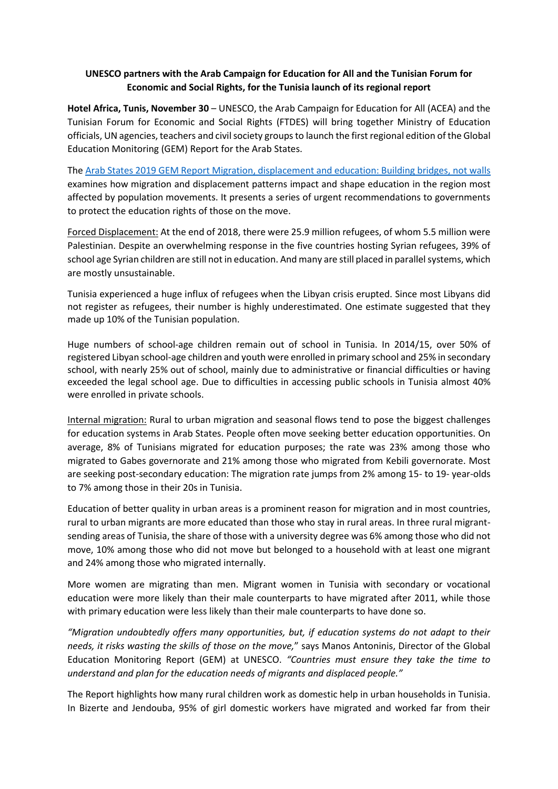## **UNESCO partners with the Arab Campaign for Education for All and the Tunisian Forum for Economic and Social Rights, for the Tunisia launch of its regional report**

**Hotel Africa, Tunis, November 30** – UNESCO, the Arab Campaign for Education for All (ACEA) and the Tunisian Forum for Economic and Social Rights (FTDES) will bring together Ministry of Education officials, UN agencies, teachers and civil society groups to launch the first regional edition of the Global Education Monitoring (GEM) Report for the Arab States.

The [Arab States 2019 GEM Report Migration, displacement and education: Building bridges, not walls](bit.ly/arabstates2019) examines how migration and displacement patterns impact and shape education in the region most affected by population movements. It presents a series of urgent recommendations to governments to protect the education rights of those on the move.

Forced Displacement: At the end of 2018, there were 25.9 million refugees, of whom 5.5 million were Palestinian. Despite an overwhelming response in the five countries hosting Syrian refugees, 39% of school age Syrian children are still not in education. And many are still placed in parallel systems, which are mostly unsustainable.

Tunisia experienced a huge influx of refugees when the Libyan crisis erupted. Since most Libyans did not register as refugees, their number is highly underestimated. One estimate suggested that they made up 10% of the Tunisian population.

Huge numbers of school-age children remain out of school in Tunisia. In 2014/15, over 50% of registered Libyan school-age children and youth were enrolled in primary school and 25% in secondary school, with nearly 25% out of school, mainly due to administrative or financial difficulties or having exceeded the legal school age. Due to difficulties in accessing public schools in Tunisia almost 40% were enrolled in private schools.

Internal migration: Rural to urban migration and seasonal flows tend to pose the biggest challenges for education systems in Arab States. People often move seeking better education opportunities. On average, 8% of Tunisians migrated for education purposes; the rate was 23% among those who migrated to Gabes governorate and 21% among those who migrated from Kebili governorate. Most are seeking post-secondary education: The migration rate jumps from 2% among 15- to 19- year-olds to 7% among those in their 20s in Tunisia.

Education of better quality in urban areas is a prominent reason for migration and in most countries, rural to urban migrants are more educated than those who stay in rural areas. In three rural migrantsending areas of Tunisia, the share of those with a university degree was 6% among those who did not move, 10% among those who did not move but belonged to a household with at least one migrant and 24% among those who migrated internally.

More women are migrating than men. Migrant women in Tunisia with secondary or vocational education were more likely than their male counterparts to have migrated after 2011, while those with primary education were less likely than their male counterparts to have done so.

*"Migration undoubtedly offers many opportunities, but, if education systems do not adapt to their needs, it risks wasting the skills of those on the move,*" says Manos Antoninis, Director of the Global Education Monitoring Report (GEM) at UNESCO. *"Countries must ensure they take the time to understand and plan for the education needs of migrants and displaced people."*

The Report highlights how many rural children work as domestic help in urban households in Tunisia. In Bizerte and Jendouba, 95% of girl domestic workers have migrated and worked far from their